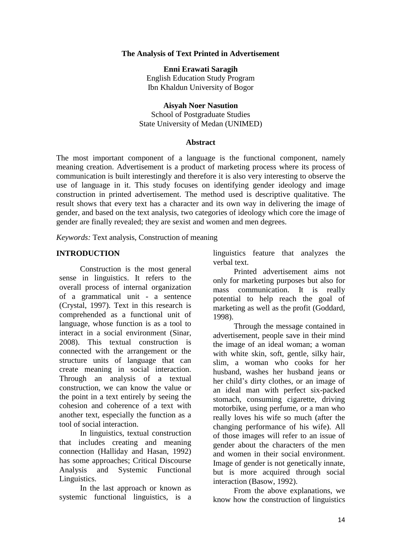#### **The Analysis of Text Printed in Advertisement**

**Enni Erawati Saragih** English Education Study Program Ibn Khaldun University of Bogor

**Aisyah Noer Nasution** School of Postgraduate Studies State University of Medan (UNIMED)

#### **Abstract**

The most important component of a language is the functional component, namely meaning creation. Advertisement is a product of marketing process where its process of communication is built interestingly and therefore it is also very interesting to observe the use of language in it. This study focuses on identifying gender ideology and image construction in printed advertisement. The method used is descriptive qualitative. The result shows that every text has a character and its own way in delivering the image of gender, and based on the text analysis, two categories of ideology which core the image of gender are finally revealed; they are sexist and women and men degrees.

*Keywords:* Text analysis, Construction of meaning

#### **INTRODUCTION**

Construction is the most general sense in linguistics. It refers to the overall process of internal organization of a grammatical unit - a sentence (Crystal, 1997). Text in this research is comprehended as a functional unit of language, whose function is as a tool to interact in a social environment (Sinar, 2008). This textual construction is connected with the arrangement or the structure units of language that can create meaning in social interaction. Through an analysis of a textual construction, we can know the value or the point in a text entirely by seeing the cohesion and coherence of a text with another text, especially the function as a tool of social interaction.

In linguistics, textual construction that includes creating and meaning connection (Halliday and Hasan, 1992) has some approaches; Critical Discourse Analysis and Systemic Functional Linguistics.

In the last approach or known as systemic functional linguistics, is a linguistics feature that analyzes the verbal text.

Printed advertisement aims not only for marketing purposes but also for mass communication. It is really potential to help reach the goal of marketing as well as the profit (Goddard, 1998).

Through the message contained in advertisement, people save in their mind the image of an ideal woman; a woman with white skin, soft, gentle, silky hair, slim, a woman who cooks for her husband, washes her husband jeans or her child's dirty clothes, or an image of an ideal man with perfect six-packed stomach, consuming cigarette, driving motorbike, using perfume, or a man who really loves his wife so much (after the changing performance of his wife). All of those images will refer to an issue of gender about the characters of the men and women in their social environment. Image of gender is not genetically innate, but is more acquired through social interaction (Basow, 1992).

From the above explanations, we know how the construction of linguistics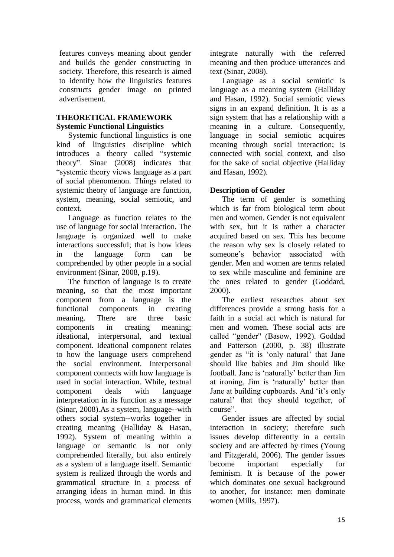features conveys meaning about gender and builds the gender constructing in society. Therefore, this research is aimed to identify how the linguistics features constructs gender image on printed advertisement.

### **THEORETICAL FRAMEWORK Systemic Functional Linguistics**

Systemic functional linguistics is one kind of linguistics discipline which introduces a theory called "systemic theory". Sinar (2008) indicates that "systemic theory views language as a part of social phenomenon. Things related to systemic theory of language are function, system, meaning, social semiotic, and context.

Language as function relates to the use of language for social interaction. The language is organized well to make interactions successful; that is how ideas in the language form can be comprehended by other people in a social environment (Sinar, 2008, p.19).

The function of language is to create meaning, so that the most important component from a language is the functional components in creating meaning. There are three basic components in creating meaning; ideational, interpersonal, and textual component. Ideational component relates to how the language users comprehend the social environment. Interpersonal component connects with how language is used in social interaction. While, textual component deals with language interpretation in its function as a message (Sinar, 2008).As a system, language--with others social system--works together in creating meaning (Halliday & Hasan, 1992). System of meaning within a language or semantic is not only comprehended literally, but also entirely as a system of a language itself. Semantic system is realized through the words and grammatical structure in a process of arranging ideas in human mind. In this process, words and grammatical elements integrate naturally with the referred meaning and then produce utterances and text (Sinar, 2008).

Language as a social semiotic is language as a meaning system (Halliday and Hasan, 1992). Social semiotic views signs in an expand definition. It is as a sign system that has a relationship with a meaning in a culture. Consequently, language in social semiotic acquires meaning through social interaction; is connected with social context, and also for the sake of social objective (Halliday and Hasan, 1992).

# **Description of Gender**

The term of gender is something which is far from biological term about men and women. Gender is not equivalent with sex, but it is rather a character acquired based on sex. This has become the reason why sex is closely related to someone's behavior associated with gender. Men and women are terms related to sex while masculine and feminine are the ones related to gender (Goddard, 2000).

The earliest researches about sex differences provide a strong basis for a faith in a social act which is natural for men and women. These social acts are called "gender" (Basow, 1992). Goddad and Patterson (2000, p. 38) illustrate gender as "it is 'only natural' that Jane should like babies and Jim should like football. Jane is 'naturally' better than Jim at ironing, Jim is 'naturally' better than Jane at building cupboards. And 'it's only natural' that they should together, of course".

Gender issues are affected by social interaction in society; therefore such issues develop differently in a certain society and are affected by times (Young and Fitzgerald, 2006). The gender issues become important especially for feminism. It is because of the power which dominates one sexual background to another, for instance: men dominate women (Mills, 1997).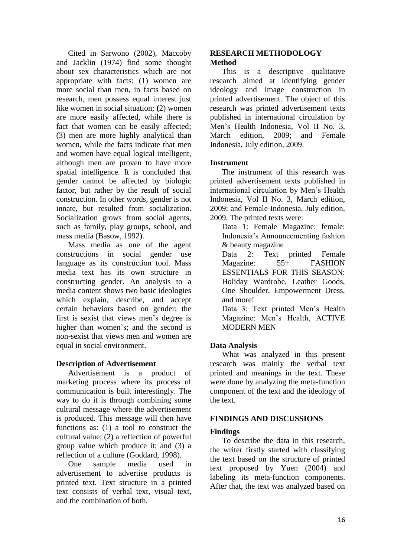Cited in Sarwono (2002), Maccoby and Jacklin (1974) find some thought about sex characteristics which are not appropriate with facts: (1) women are more social than men, in facts based on research, men possess equal interest just like women in social situation; **(**2) women are more easily affected, while there is fact that women can be easily affected; (3) men are more highly analytical than women, while the facts indicate that men and women have equal logical intelligent, although men are proven to have more spatial intelligence. It is concluded that gender cannot be affected by biologic factor, but rather by the result of social construction. In other words, gender is not innate, but resulted from socialization. Socialization grows from social agents, such as family, play groups, school, and mass media (Basow, 1992).

Mass media as one of the agent constructions in social gender use language as its construction tool. Mass media text has its own structure in constructing gender. An analysis to a media content shows two basic ideologies which explain, describe, and accept certain behaviors based on gender; the first is sexist that views men's degree is higher than women's; and the second is non-sexist that views men and women are equal in social environment.

# **Description of Advertisement**

Advertisement is a product of marketing process where its process of communication is built interestingly. The way to do it is through combining some cultural message where the advertisement is produced. This message will then have functions as: (1) a tool to construct the cultural value; (2) a reflection of powerful group value which produce it; and (3) a reflection of a culture (Goddard, 1998).

One sample media used in advertisement to advertise products is printed text. Text structure in a printed text consists of verbal text, visual text, and the combination of both.

### **RESEARCH METHODOLOGY Method**

This is a descriptive qualitative research aimed at identifying gender ideology and image construction in printed advertisement. The object of this research was printed advertisement texts published in international circulation by Men's Health Indonesia, Vol II No. 3, March edition, 2009; and Female Indonesia, July edition, 2009.

# **Instrument**

The instrument of this research was printed advertisement texts published in international circulation by Men's Health Indonesia, Vol II No. 3, March edition, 2009; and Female Indonesia, July edition, 2009. The printed texts were:

Data 1: Female Magazine: female: Indonesia's Announcementing fashion & beauty magazine

Data 2: Text printed Female Magazine: 55+ FASHION ESSENTIALS FOR THIS SEASON: Holiday Wardrobe, Leather Goods, One Shoulder, Empowerment Dress, and more!

Data 3: Text printed Men's Health Magazine: Men's Health, ACTIVE MODERN MEN

# **Data Analysis**

What was analyzed in this present research was mainly the verbal text printed and meanings in the text. These were done by analyzing the meta-function component of the text and the ideology of the text.

# **FINDINGS AND DISCUSSIONS**

# **Findings**

To describe the data in this research, the writer firstly started with classifying the text based on the structure of printed text proposed by Yuen (2004) and labeling its meta-function components. After that, the text was analyzed based on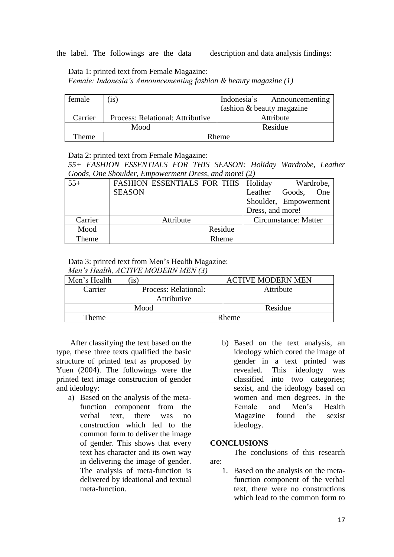the label. The followings are the data description and data analysis findings:

Data 1: printed text from Female Magazine:

*Female: Indonesia's Announcementing fashion & beauty magazine (1)*

| female  | (i <sub>S</sub> )                | Indonesia's Announcementing |
|---------|----------------------------------|-----------------------------|
|         |                                  | fashion & beauty magazine   |
| Carrier | Process: Relational: Attributive | Attribute                   |
|         | Mood                             | Residue                     |
| Theme   | Rheme                            |                             |

Data 2: printed text from Female Magazine:

*55+ FASHION ESSENTIALS FOR THIS SEASON: Holiday Wardrobe, Leather Goods, One Shoulder, Empowerment Dress, and more! (2)*

| $55+$   | <b>FASHION ESSENTIALS FOR THIS   Holiday</b> | Wardrobe,                |
|---------|----------------------------------------------|--------------------------|
|         | <b>SEASON</b>                                | Leather<br>One<br>Goods, |
|         |                                              | Shoulder, Empowerment    |
|         |                                              | Dress, and more!         |
| Carrier | Attribute                                    | Circumstance: Matter     |
| Mood    | Residue                                      |                          |
| Theme   | Rheme                                        |                          |

#### Data 3: printed text from Men's Health Magazine:

| Men's Health, ACTIVE MODERN MEN (3) |                      |                          |  |  |
|-------------------------------------|----------------------|--------------------------|--|--|
| Men's Health                        | $($ is)              | <b>ACTIVE MODERN MEN</b> |  |  |
| Carrier                             | Process: Relational: | Attribute                |  |  |
|                                     | Attributive          |                          |  |  |
|                                     | Mood                 | Residue                  |  |  |
| Theme                               | <b>Rheme</b>         |                          |  |  |

After classifying the text based on the type, these three texts qualified the basic structure of printed text as proposed by Yuen (2004). The followings were the printed text image construction of gender and ideology:

- a) Based on the analysis of the metafunction component from the verbal text, there was no construction which led to the common form to deliver the image of gender. This shows that every text has character and its own way in delivering the image of gender. The analysis of meta-function is delivered by ideational and textual meta-function.
- b) Based on the text analysis, an ideology which cored the image of gender in a text printed was revealed. This ideology was classified into two categories; sexist, and the ideology based on women and men degrees. In the Female and Men's Health Magazine found the sexist ideology.

#### **CONCLUSIONS**

The conclusions of this research are:

1. Based on the analysis on the metafunction component of the verbal text, there were no constructions which lead to the common form to